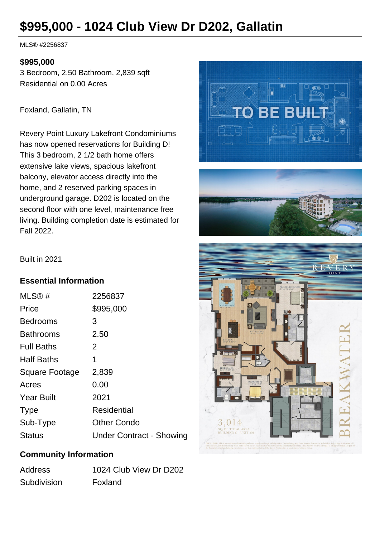# **\$995,000 - 1024 Club View Dr D202, Gallatin**

MLS® #2256837

#### **\$995,000**

3 Bedroom, 2.50 Bathroom, 2,839 sqft Residential on 0.00 Acres

Foxland, Gallatin, TN

Revery Point Luxury Lakefront Condominiums has now opened reservations for Building D! This 3 bedroom, 2 1/2 bath home offers extensive lake views, spacious lakefront balcony, elevator access directly into the home, and 2 reserved parking spaces in underground garage. D202 is located on the second floor with one level, maintenance free living. Building completion date is estimated for Fall 2022.



3.014 SQ. FT. TOTAL AREA<br>BUILDING C - UNIT 30

Built in 2021

#### **Essential Information**

| MLS@#             | 2256837                         |
|-------------------|---------------------------------|
| Price             | \$995,000                       |
| <b>Bedrooms</b>   | 3                               |
| <b>Bathrooms</b>  | 2.50                            |
| <b>Full Baths</b> | 2                               |
| <b>Half Baths</b> | 1                               |
| Square Footage    | 2,839                           |
| Acres             | 0.00                            |
| <b>Year Built</b> | 2021                            |
| <b>Type</b>       | Residential                     |
| Sub-Type          | <b>Other Condo</b>              |
| <b>Status</b>     | <b>Under Contract - Showing</b> |

## **Community Information**

| Address     | 1024 Club View Dr D202 |
|-------------|------------------------|
| Subdivision | Foxland                |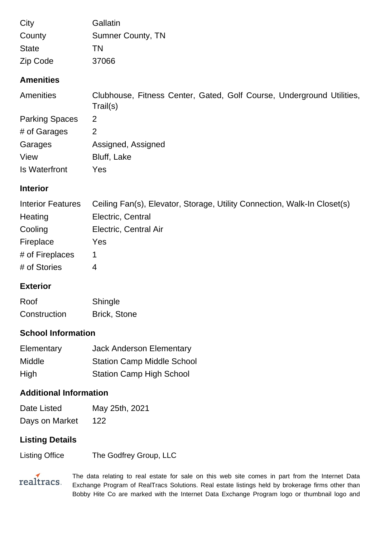| City             | Gallatin                 |
|------------------|--------------------------|
| County           | <b>Sumner County, TN</b> |
| <b>State</b>     | ΤN                       |
| Zip Code         | 37066                    |
| <b>Amenities</b> |                          |

| Amenities             | Clubhouse, Fitness Center, Gated, Golf Course, Underground Utilities,<br>Trail(s) |
|-----------------------|-----------------------------------------------------------------------------------|
| <b>Parking Spaces</b> | 2                                                                                 |
| # of Garages          | 2                                                                                 |
| Garages               | Assigned, Assigned                                                                |
| View                  | Bluff, Lake                                                                       |
| Is Waterfront         | Yes                                                                               |

## **Interior**

| <b>Interior Features</b> | Ceiling Fan(s), Elevator, Storage, Utility Connection, Walk-In Closet(s) |
|--------------------------|--------------------------------------------------------------------------|
| Heating                  | Electric, Central                                                        |
| Cooling                  | Electric, Central Air                                                    |
| Fireplace                | Yes                                                                      |
| # of Fireplaces          |                                                                          |
| # of Stories             | 4                                                                        |

# **Exterior**

| Roof         | Shingle             |
|--------------|---------------------|
| Construction | <b>Brick, Stone</b> |

# **School Information**

| Elementary | <b>Jack Anderson Elementary</b>   |
|------------|-----------------------------------|
| Middle     | <b>Station Camp Middle School</b> |
| High       | <b>Station Camp High School</b>   |

# **Additional Information**

| Date Listed    | May 25th, 2021 |
|----------------|----------------|
| Days on Market | 122            |

# **Listing Details**

Listing Office The Godfrey Group, LLC

realtracs.

The data relating to real estate for sale on this web site comes in part from the Internet Data Exchange Program of RealTracs Solutions. Real estate listings held by brokerage firms other than Bobby Hite Co are marked with the Internet Data Exchange Program logo or thumbnail logo and